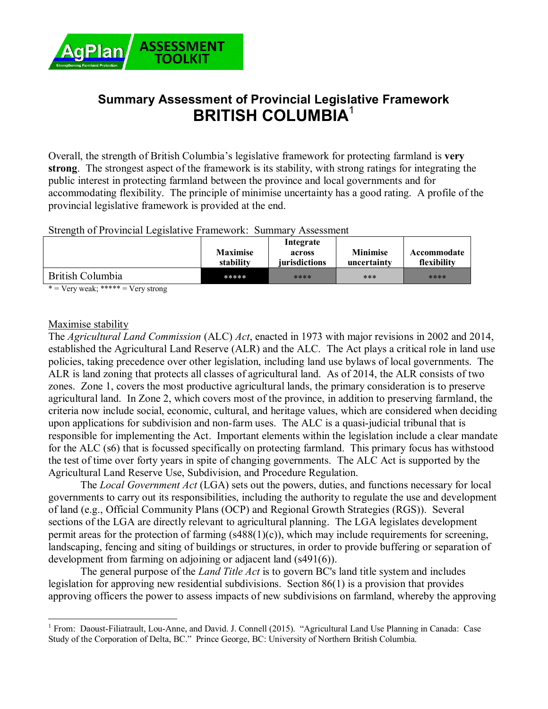

## **Summary Assessment of Provincial Legislative Framework BRITISH COLUMBIA**<sup>1</sup>

Overall, the strength of British Columbia's legislative framework for protecting farmland is **very strong**. The strongest aspect of the framework is its stability, with strong ratings for integrating the public interest in protecting farmland between the province and local governments and for accommodating flexibility. The principle of minimise uncertainty has a good rating. A profile of the provincial legislative framework is provided at the end.

Strength of Provincial Legislative Framework: Summary Assessment

| -<br>-           |                              |                                |                                |                            |
|------------------|------------------------------|--------------------------------|--------------------------------|----------------------------|
|                  |                              | Integrate                      |                                |                            |
|                  | <b>Maximise</b><br>stability | across<br><i>iurisdictions</i> | <b>Minimise</b><br>uncertainty | Accommodate<br>flexibility |
| British Columbia | *****                        | ****                           | ***                            | ****                       |

 $* = \overline{V_{\text{ery weak}}};$  \*\*\*\*\* =  $V_{\text{ery strong}}$ 

## Maximise stability

The *Agricultural Land Commission* (ALC) *Act*, enacted in 1973 with major revisions in 2002 and 2014, established the Agricultural Land Reserve (ALR) and the ALC. The Act plays a critical role in land use policies, taking precedence over other legislation, including land use bylaws of local governments. The ALR is land zoning that protects all classes of agricultural land. As of 2014, the ALR consists of two zones. Zone 1, covers the most productive agricultural lands, the primary consideration is to preserve agricultural land. In Zone 2, which covers most of the province, in addition to preserving farmland, the criteria now include social, economic, cultural, and heritage values, which are considered when deciding upon applications for subdivision and non-farm uses. The ALC is a quasi-judicial tribunal that is responsible for implementing the Act. Important elements within the legislation include a clear mandate for the ALC (s6) that is focussed specifically on protecting farmland. This primary focus has withstood the test of time over forty years in spite of changing governments. The ALC Act is supported by the Agricultural Land Reserve Use, Subdivision, and Procedure Regulation.

The *Local Government Act* (LGA) sets out the powers, duties, and functions necessary for local governments to carry out its responsibilities, including the authority to regulate the use and development of land (e.g., Official Community Plans (OCP) and Regional Growth Strategies (RGS)). Several sections of the LGA are directly relevant to agricultural planning. The LGA legislates development permit areas for the protection of farming (s488(1)(c)), which may include requirements for screening, landscaping, fencing and siting of buildings or structures, in order to provide buffering or separation of development from farming on adjoining or adjacent land (s491(6)).

The general purpose of the *Land Title Act* is to govern BC's land title system and includes legislation for approving new residential subdivisions. Section 86(1) is a provision that provides approving officers the power to assess impacts of new subdivisions on farmland, whereby the approving

 $\overline{a}$ <sup>1</sup> From: Daoust-Filiatrault, Lou-Anne, and David. J. Connell (2015). "Agricultural Land Use Planning in Canada: Case Study of the Corporation of Delta, BC." Prince George, BC: University of Northern British Columbia.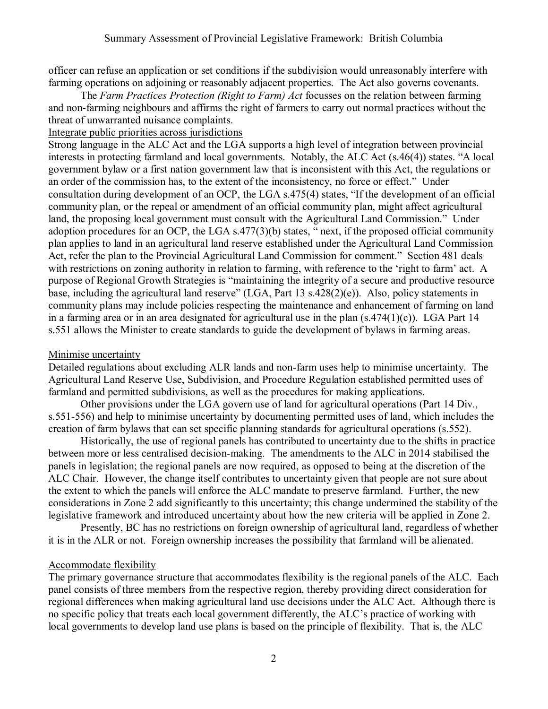officer can refuse an application or set conditions if the subdivision would unreasonably interfere with farming operations on adjoining or reasonably adjacent properties. The Act also governs covenants.

The *Farm Practices Protection (Right to Farm) Act* focusses on the relation between farming and non-farming neighbours and affirms the right of farmers to carry out normal practices without the threat of unwarranted nuisance complaints.

Integrate public priorities across jurisdictions

Strong language in the ALC Act and the LGA supports a high level of integration between provincial interests in protecting farmland and local governments. Notably, the ALC Act (s.46(4)) states. "A local government bylaw or a first nation government law that is inconsistent with this Act, the regulations or an order of the commission has, to the extent of the inconsistency, no force or effect." Under consultation during development of an OCP, the LGA s.475(4) states, "If the development of an official community plan, or the repeal or amendment of an official community plan, might affect agricultural land, the proposing local government must consult with the Agricultural Land Commission." Under adoption procedures for an OCP, the LGA s.477(3)(b) states, " next, if the proposed official community plan applies to land in an agricultural land reserve established under the Agricultural Land Commission Act, refer the plan to the Provincial Agricultural Land Commission for comment." Section 481 deals with restrictions on zoning authority in relation to farming, with reference to the 'right to farm' act. A purpose of Regional Growth Strategies is "maintaining the integrity of a secure and productive resource base, including the agricultural land reserve" (LGA, Part 13 s.428(2)(e)). Also, policy statements in community plans may include policies respecting the maintenance and enhancement of farming on land in a farming area or in an area designated for agricultural use in the plan (s.474(1)(c)). LGA Part 14 s.551 allows the Minister to create standards to guide the development of bylaws in farming areas.

## Minimise uncertainty

Detailed regulations about excluding ALR lands and non-farm uses help to minimise uncertainty. The Agricultural Land Reserve Use, Subdivision, and Procedure Regulation established permitted uses of farmland and permitted subdivisions, as well as the procedures for making applications.

Other provisions under the LGA govern use of land for agricultural operations (Part 14 Div., s.551-556) and help to minimise uncertainty by documenting permitted uses of land, which includes the creation of farm bylaws that can set specific planning standards for agricultural operations (s.552).

Historically, the use of regional panels has contributed to uncertainty due to the shifts in practice between more or less centralised decision-making. The amendments to the ALC in 2014 stabilised the panels in legislation; the regional panels are now required, as opposed to being at the discretion of the ALC Chair. However, the change itself contributes to uncertainty given that people are not sure about the extent to which the panels will enforce the ALC mandate to preserve farmland. Further, the new considerations in Zone 2 add significantly to this uncertainty; this change undermined the stability of the legislative framework and introduced uncertainty about how the new criteria will be applied in Zone 2.

Presently, BC has no restrictions on foreign ownership of agricultural land, regardless of whether it is in the ALR or not. Foreign ownership increases the possibility that farmland will be alienated.

## Accommodate flexibility

The primary governance structure that accommodates flexibility is the regional panels of the ALC. Each panel consists of three members from the respective region, thereby providing direct consideration for regional differences when making agricultural land use decisions under the ALC Act. Although there is no specific policy that treats each local government differently, the ALC's practice of working with local governments to develop land use plans is based on the principle of flexibility. That is, the ALC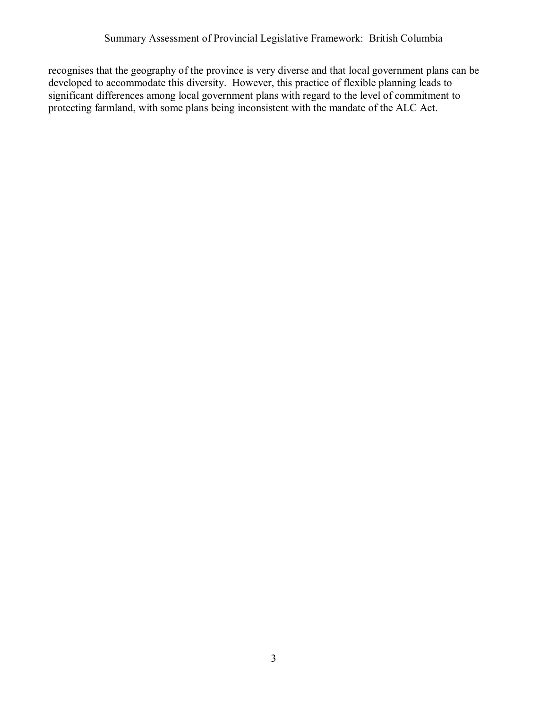recognises that the geography of the province is very diverse and that local government plans can be developed to accommodate this diversity. However, this practice of flexible planning leads to significant differences among local government plans with regard to the level of commitment to protecting farmland, with some plans being inconsistent with the mandate of the ALC Act.